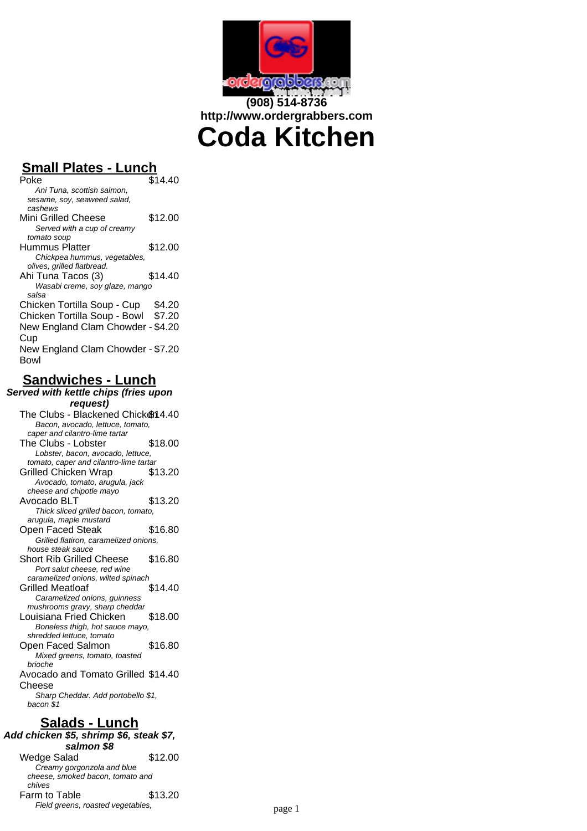

# **Small Plates - Lunch**

| Poke                              | \$14.40 |
|-----------------------------------|---------|
| Ani Tuna, scottish salmon,        |         |
| sesame, soy, seaweed salad,       |         |
| cashews                           |         |
| Mini Grilled Cheese               | \$12.00 |
| Served with a cup of creamy       |         |
| tomato soup                       |         |
| Hummus Platter                    | \$12.00 |
| Chickpea hummus, vegetables,      |         |
| olives, grilled flatbread.        |         |
| Ahi Tuna Tacos (3)                | \$14.40 |
| Wasabi creme, soy glaze, mango    |         |
| salsa                             |         |
| Chicken Tortilla Soup - Cup       | \$4.20  |
| Chicken Tortilla Soup - Bowl      | \$7.20  |
| New England Clam Chowder - \$4.20 |         |
| Cup                               |         |
|                                   |         |
| New England Clam Chowder - \$7.20 |         |
| Bowl                              |         |

# **Sandwiches - Lunch**

#### **Served with kettle chips (fries upon request)** The Clubs - Blackened Chicken 4.40 Bacon, avocado, lettuce, tomato, caper and cilantro-lime tartar The Clubs - Lobster \$18.00 Lobster, bacon, avocado, lettuce, tomato, caper and cilantro-lime tartar Grilled Chicken Wrap \$13.20 Avocado, tomato, arugula, jack cheese and chipotle mayo Avocado BLT \$13.20 Thick sliced grilled bacon, tomato, arugula, maple mustard Open Faced Steak \$16.80 Grilled flatiron, caramelized onions, house steak sauce Short Rib Grilled Cheese \$16.80 Port salut cheese, red wine caramelized onions, wilted spinach Grilled Meatloaf \$14.40 Caramelized onions, guinness mushrooms gravy, sharp cheddar Louisiana Fried Chicken \$18.00 Boneless thigh, hot sauce mayo, shredded lettuce, tomato Open Faced Salmon \$16.80 Mixed greens, tomato, toasted brioche Avocado and Tomato Grilled \$14.40 Cheese Sharp Cheddar. Add portobello \$1, bacon \$1

#### **Salads - Lunch Add chicken \$5, shrimp \$6, steak \$7, salmon \$8** Wedge Salad \$12.00 Creamy gorgonzola and blue cheese, smoked bacon, tomato and chives Farm to Table \$13.20

Field greens, roasted vegetables, example to the page 1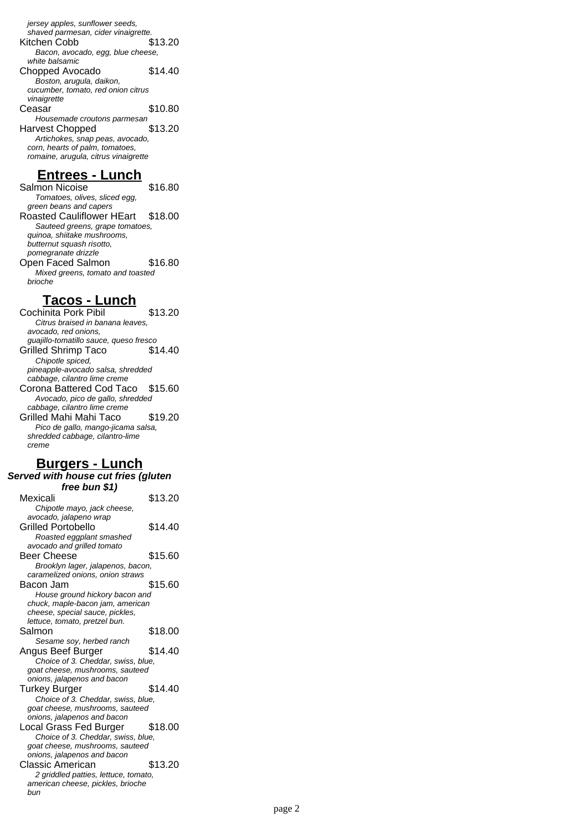jersey apples, sunflower seeds, shaved parmesan, cider vinaigrette. Kitchen Cobb \$13.20 Bacon, avocado, egg, blue cheese, white balsamic Chopped Avocado \$14.40 Boston, arugula, daikon, cucumber, tomato, red onion citrus vinaigrette Ceasar \$10.80 Housemade croutons parmesan Harvest Chopped \$13.20 Artichokes, snap peas, avocado, corn, hearts of palm, tomatoes, romaine, arugula, citrus vinaigrette

### **Entrees - Lunch**

Salmon Nicoise \$16.80 Tomatoes, olives, sliced egg, green beans and capers Roasted Cauliflower HEart \$18.00 Sauteed greens, grape tomatoes, quinoa, shiitake mushrooms, butternut squash risotto, pomegranate drizzle Open Faced Salmon \$16.80 Mixed greens, tomato and toasted brioche

# **Tacos - Lunch**

Cochinita Pork Pibil \$13.20 Citrus braised in banana leaves, avocado, red onions, guajillo-tomatillo sauce, queso fresco<br>Inilled Shrimp Taco **\$14.40** Grilled Shrimp Taco Chipotle spiced, pineapple-avocado salsa, shredded cabbage, cilantro lime creme Corona Battered Cod Taco \$15.60 Avocado, pico de gallo, shredded cabbage, cilantro lime creme Grilled Mahi Mahi Taco \$19.20 Pico de gallo, mango-jicama salsa, shredded cabbage, cilantro-lime creme

# **Burgers - Lunch**

#### **Served with house cut fries (gluten free bun \$1)**

| nee nan sil                          |         |
|--------------------------------------|---------|
| Mexicali                             | \$13.20 |
| Chipotle mayo, jack cheese,          |         |
| avocado, jalapeno wrap               |         |
| <b>Grilled Portobello</b>            | \$14.40 |
| Roasted eggplant smashed             |         |
| avocado and grilled tomato           |         |
| <b>Beer Cheese</b>                   | \$15.60 |
| Brooklyn lager, jalapenos, bacon,    |         |
| caramelized onions, onion straws     |         |
| Bacon Jam                            | \$15.60 |
| House ground hickory bacon and       |         |
| chuck, maple-bacon jam, american     |         |
| cheese, special sauce, pickles,      |         |
| lettuce, tomato, pretzel bun.        |         |
| Salmon                               | \$18.00 |
| Sesame soy, herbed ranch             |         |
| Angus Beef Burger                    | \$14.40 |
| Choice of 3. Cheddar, swiss, blue,   |         |
| goat cheese, mushrooms, sauteed      |         |
| onions, jalapenos and bacon          |         |
| <b>Turkey Burger</b>                 | \$14.40 |
| Choice of 3. Cheddar, swiss, blue,   |         |
| goat cheese, mushrooms, sauteed      |         |
| onions, jalapenos and bacon          |         |
| Local Grass Fed Burger               | \$18.00 |
| Choice of 3. Cheddar, swiss, blue,   |         |
| goat cheese, mushrooms, sauteed      |         |
| onions, jalapenos and bacon          |         |
| Classic American                     | \$13.20 |
| 2 griddled patties, lettuce, tomato, |         |
| american cheese, pickles, brioche    |         |
| bun                                  |         |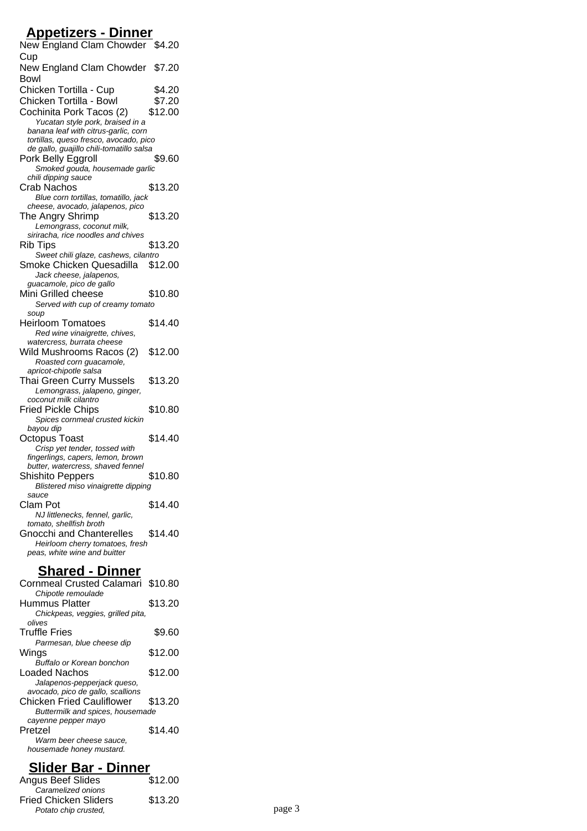# **Appetizers - Dinner**

| <u>ippul</u><br><u>svi (</u><br><u>. на п</u><br><u>ши</u><br>v. |         |
|------------------------------------------------------------------|---------|
| New England Clam Chowder \$4.20<br>Cup                           |         |
| New England Clam Chowder \$7.20                                  |         |
| Bowl                                                             |         |
| Chicken Tortilla - Cup                                           | \$4.20  |
| Chicken Tortilla - Bowl                                          | \$7.20  |
| Cochinita Pork Tacos (2)                                         | \$12.00 |
| Yucatan style pork, braised in a                                 |         |
| banana leaf with citrus-garlic, corn                             |         |
| tortillas, queso fresco, avocado, pico                           |         |
| de gallo, guajillo chili-tomatillo salsa                         |         |
| Pork Belly Eggroll                                               | \$9.60  |
| Smoked gouda, housemade garlic<br>chili dipping sauce            |         |
| Crab Nachos                                                      | \$13.20 |
| Blue corn tortillas, tomatillo, jack                             |         |
| cheese, avocado, jalapenos, pico                                 |         |
| The Angry Shrimp                                                 | \$13.20 |
| Lemongrass, coconut milk,                                        |         |
| siriracha, rice noodles and chives                               |         |
| <b>Rib Tips</b>                                                  | \$13.20 |
| Sweet chili glaze, cashews, cilantro                             |         |
| Smoke Chicken Quesadilla                                         | \$12.00 |
| Jack cheese, jalapenos,                                          |         |
| guacamole, pico de gallo                                         |         |
| Mini Grilled cheese                                              | \$10.80 |
| Served with cup of creamy tomato                                 |         |
| soup                                                             |         |
| <b>Heirloom Tomatoes</b>                                         | \$14.40 |
| Red wine vinaigrette, chives,                                    |         |
| watercress, burrata cheese<br>Wild Mushrooms Racos (2)           | \$12.00 |
| Roasted corn guacamole,                                          |         |
| apricot-chipotle salsa                                           |         |
| Thai Green Curry Mussels                                         | \$13.20 |
| Lemongrass, jalapeno, ginger,                                    |         |
| coconut milk cilantro                                            |         |
| <b>Fried Pickle Chips</b>                                        | \$10.80 |
| Spices cornmeal crusted kickin                                   |         |
| bayou dip                                                        |         |
| Octopus Toast                                                    | \$14.40 |
| Crisp yet tender, tossed with                                    |         |
| fingerlings, capers, lemon, brown                                |         |
| butter, watercress, shaved fennel                                | \$10.80 |
| Shishito Peppers                                                 |         |
| Blistered miso vinaigrette dipping<br>sauce                      |         |
| Clam Pot                                                         | \$14.40 |
| NJ littlenecks, fennel, garlic,                                  |         |
| tomato, shellfish broth                                          |         |
| Gnocchi and Chanterelles                                         | \$14.40 |
| Heirloom cherry tomatoes, fresh                                  |         |
| peas, white wine and buitter                                     |         |
|                                                                  |         |

### **Shared - Dinner**

| Cornmeal Crusted Calamari \$10.80 |         |
|-----------------------------------|---------|
| Chipotle remoulade                |         |
| Hummus Platter                    | \$13.20 |
| Chickpeas, veggies, grilled pita, |         |
| olives                            |         |
| Truffle Fries                     | \$9.60  |
| Parmesan, blue cheese dip         |         |
| Wings                             | \$12.00 |
| Buffalo or Korean bonchon         |         |
| Loaded Nachos                     | \$12.00 |
| Jalapenos-pepperjack queso,       |         |
| avocado, pico de gallo, scallions |         |
| Chicken Fried Cauliflower         | \$13.20 |
| Buttermilk and spices, housemade  |         |
| cayenne pepper mayo               |         |
| Pretzel                           | \$14.40 |
| Warm beer cheese sauce.           |         |
| housemade honey mustard.          |         |

# **Slider Bar - Dinner**

| Angus Beef Slides     | \$12.00 |
|-----------------------|---------|
| Caramelized onions    |         |
| Fried Chicken Sliders | \$13.20 |
| Potato chip crusted,  |         |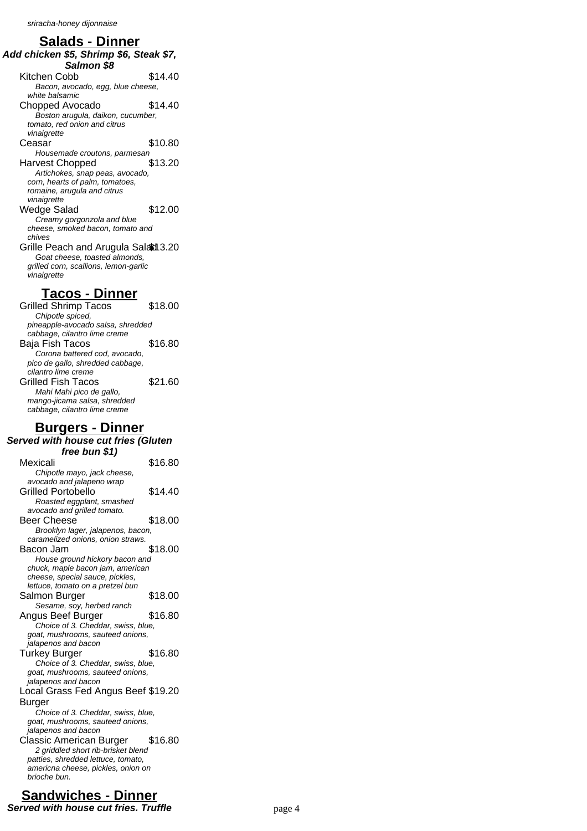### **Salads - Dinner**

### **Add chicken \$5, Shrimp \$6, Steak \$7, Salmon \$8**

- Kitchen Cobb \$14.40 Bacon, avocado, egg, blue cheese, white balsamic
- Chopped Avocado \$14.40 Boston arugula, daikon, cucumber, tomato, red onion and citrus vinaigrette
- Ceasar \$10.80 Housemade croutons, parmesan
- Harvest Chopped \$13.20 Artichokes, snap peas, avocado,
- corn, hearts of palm, tomatoes, romaine, arugula and citrus
- vinaigrette
- Wedge Salad \$12.00 Creamy gorgonzola and blue cheese, smoked bacon, tomato and
- chives
- Grille Peach and Arugula Salad 3.20 Goat cheese, toasted almonds, grilled corn, scallions, lemon-garlic vinaigrette

### **Tacos - Dinner**

Grilled Shrimp Tacos \$18.00 Chipotle spiced, pineapple-avocado salsa, shredded cabbage, cilantro lime creme Baia Fish Tacos \$16.80 Corona battered cod, avocado, pico de gallo, shredded cabbage, cilantro lime creme Grilled Fish Tacos \$21.60 Mahi Mahi pico de gallo, mango-jicama salsa, shredded cabbage, cilantro lime creme

### **Burgers - Dinner**

#### **Served with house cut fries (Gluten free bun \$1)**

| Mexicali                           | \$16.80 |
|------------------------------------|---------|
| Chipotle mayo, jack cheese,        |         |
| avocado and jalapeno wrap          |         |
| Grilled Portobello                 | \$14.40 |
| Roasted eggplant, smashed          |         |
| avocado and grilled tomato.        |         |
| <b>Beer Cheese</b>                 | \$18.00 |
| Brooklyn lager, jalapenos, bacon,  |         |
| caramelized onions, onion straws.  |         |
| Bacon Jam                          | \$18.00 |
| House ground hickory bacon and     |         |
| chuck, maple bacon jam, american   |         |
| cheese, special sauce, pickles,    |         |
| lettuce, tomato on a pretzel bun   |         |
| Salmon Burger                      | \$18.00 |
| Sesame, soy, herbed ranch          |         |
| Angus Beef Burger                  | \$16.80 |
| Choice of 3. Cheddar, swiss, blue, |         |
| goat, mushrooms, sauteed onions,   |         |
| jalapenos and bacon                |         |
| <b>Turkey Burger</b>               | \$16.80 |
| Choice of 3. Cheddar, swiss, blue, |         |
| goat, mushrooms, sauteed onions,   |         |
| jalapenos and bacon                |         |
| Local Grass Fed Angus Beef \$19.20 |         |
| Burger                             |         |
| Choice of 3. Cheddar, swiss, blue, |         |
| goat, mushrooms, sauteed onions,   |         |
| jalapenos and bacon                |         |
| Classic American Burger            | \$16.80 |
| 2 griddled short rib-brisket blend |         |
| patties, shredded lettuce, tomato, |         |
| americna cheese, pickles, onion on |         |
| brioche bun.                       |         |
|                                    |         |

# **Sandwiches - Dinner**

### **Served with house cut fries. Truffle** page 4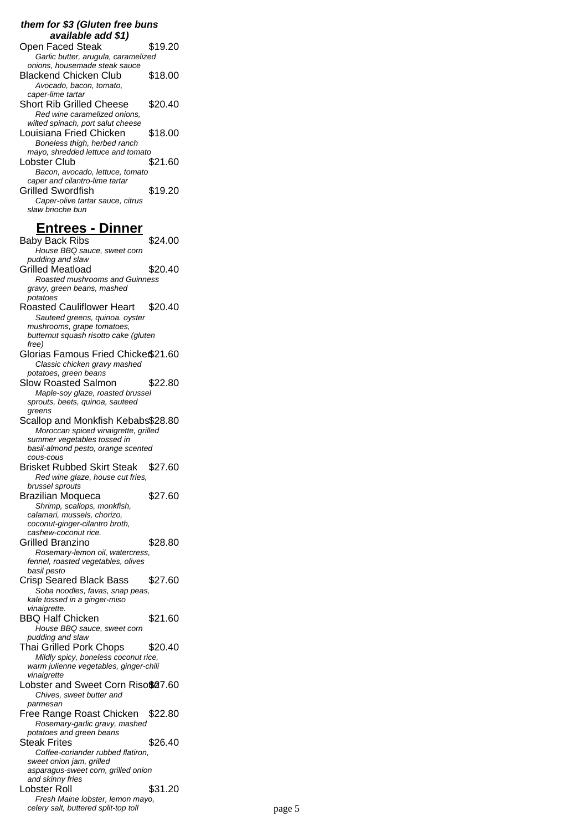#### **them for \$3 (Gluten free buns available add \$1)**

| avallabl <del>c</del> auu φτ)       |         |
|-------------------------------------|---------|
| Open Faced Steak                    | \$19.20 |
| Garlic butter, arugula, caramelized |         |
| onions, housemade steak sauce       |         |
| <b>Blackend Chicken Club</b>        | \$18.00 |
| Avocado, bacon, tomato,             |         |
| caper-lime tartar                   |         |
| <b>Short Rib Grilled Cheese</b>     | \$20.40 |
| Red wine caramelized onions,        |         |
| wilted spinach, port salut cheese   |         |
| Louisiana Fried Chicken             | \$18.00 |
| Boneless thigh, herbed ranch        |         |
| mayo, shredded lettuce and tomato   |         |
| Lobster Club                        | \$21.60 |
| Bacon, avocado, lettuce, tomato     |         |
| caper and cilantro-lime tartar      |         |
| <b>Grilled Swordfish</b>            | \$19.20 |
| Caper-olive tartar sauce, citrus    |         |
| slaw brioche bun                    |         |

# **Entrees - Dinner**

Baby Back Ribs \$24.00 House BBQ sauce, sweet corn pudding and slaw Grilled Meatload \$20.40 Roasted mushrooms and Guinness gravy, green beans, mashed potatoes Roasted Cauliflower Heart \$20.40 Sauteed greens, quinoa. oyster mushrooms, grape tomatoes, butternut squash risotto cake (gluten free) Glorias Famous Fried Chicken\$21.60 Classic chicken gravy mashed potatoes, green beans Slow Roasted Salmon \$22.80 Maple-soy glaze, roasted brussel sprouts, beets, quinoa, sauteed greens Scallop and Monkfish Kebabs\$28.80 Moroccan spiced vinaigrette, grilled summer vegetables tossed in basil-almond pesto, orange scented cous-cous Brisket Rubbed Skirt Steak \$27.60 Red wine glaze, house cut fries, brussel sprouts Brazilian Moqueca \$27.60 Shrimp, scallops, monkfish, calamari, mussels, chorizo, coconut-ginger-cilantro broth, cashew-coconut rice. Grilled Branzino \$28.80 Rosemary-lemon oil, watercress, fennel, roasted vegetables, olives basil pesto Crisp Seared Black Bass \$27.60 Soba noodles, favas, snap peas, kale tossed in a ginger-miso vinaigrette. BBQ Half Chicken \$21.60 House BBQ sauce, sweet corn pudding and slaw Thai Grilled Pork Chops \$20.40 Mildly spicy, boneless coconut rice, warm julienne vegetables, ginger-chili vinaigrette Lobster and Sweet Corn Risot 07.60 Chives, sweet butter and parmesan Free Range Roast Chicken \$22.80 Rosemary-garlic gravy, mashed potatoes and green beans Steak Frites \$26.40 Coffee-coriander rubbed flatiron, sweet onion jam, grilled asparagus-sweet corn, grilled onion and skinny fries Lobster Roll \$31.20 Fresh Maine lobster, lemon mayo, celery salt, buttered split-top toll example to the page 5